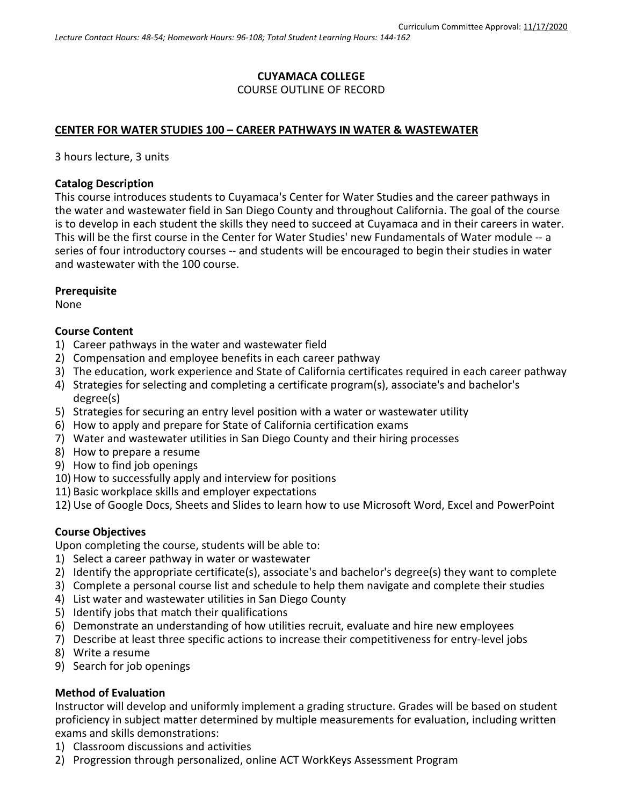## **CUYAMACA COLLEGE** COURSE OUTLINE OF RECORD

### **CENTER FOR WATER STUDIES 100 – CAREER PATHWAYS IN WATER & WASTEWATER**

3 hours lecture, 3 units

#### **Catalog Description**

This course introduces students to Cuyamaca's Center for Water Studies and the career pathways in the water and wastewater field in San Diego County and throughout California. The goal of the course is to develop in each student the skills they need to succeed at Cuyamaca and in their careers in water. This will be the first course in the Center for Water Studies' new Fundamentals of Water module -- a series of four introductory courses -- and students will be encouraged to begin their studies in water and wastewater with the 100 course.

#### **Prerequisite**

None

#### **Course Content**

- 1) Career pathways in the water and wastewater field
- 2) Compensation and employee benefits in each career pathway
- 3) The education, work experience and State of California certificates required in each career pathway
- 4) Strategies for selecting and completing a certificate program(s), associate's and bachelor's degree(s)
- 5) Strategies for securing an entry level position with a water or wastewater utility
- 6) How to apply and prepare for State of California certification exams
- 7) Water and wastewater utilities in San Diego County and their hiring processes
- 8) How to prepare a resume
- 9) How to find job openings
- 10) How to successfully apply and interview for positions
- 11) Basic workplace skills and employer expectations
- 12) Use of Google Docs, Sheets and Slides to learn how to use Microsoft Word, Excel and PowerPoint

### **Course Objectives**

Upon completing the course, students will be able to:

- 1) Select a career pathway in water or wastewater
- 2) Identify the appropriate certificate(s), associate's and bachelor's degree(s) they want to complete
- 3) Complete a personal course list and schedule to help them navigate and complete their studies
- 4) List water and wastewater utilities in San Diego County
- 5) Identify jobs that match their qualifications
- 6) Demonstrate an understanding of how utilities recruit, evaluate and hire new employees
- 7) Describe at least three specific actions to increase their competitiveness for entry-level jobs
- 8) Write a resume
- 9) Search for job openings

### **Method of Evaluation**

Instructor will develop and uniformly implement a grading structure. Grades will be based on student proficiency in subject matter determined by multiple measurements for evaluation, including written exams and skills demonstrations:

- 1) Classroom discussions and activities
- 2) Progression through personalized, online ACT WorkKeys Assessment Program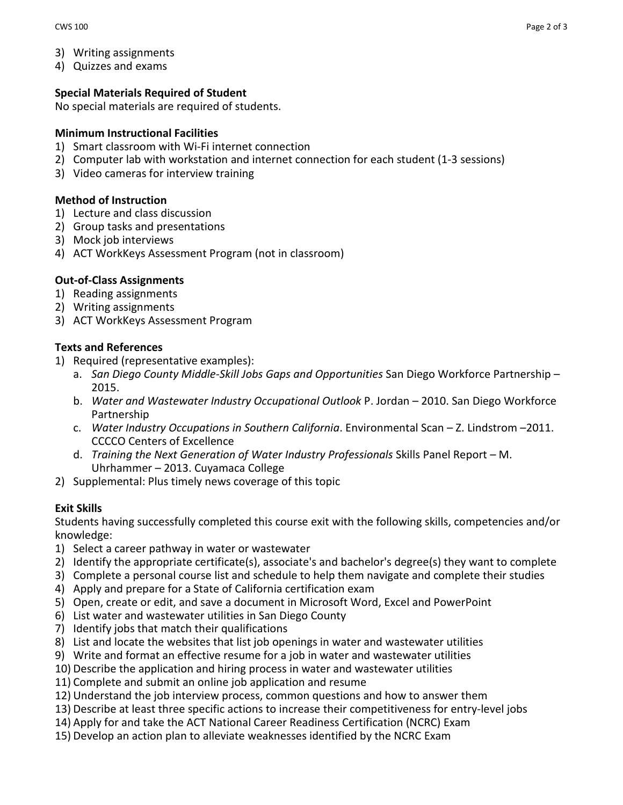- 3) Writing assignments
- 4) Quizzes and exams

## **Special Materials Required of Student**

No special materials are required of students.

### **Minimum Instructional Facilities**

- 1) Smart classroom with Wi-Fi internet connection
- 2) Computer lab with workstation and internet connection for each student (1-3 sessions)
- 3) Video cameras for interview training

## **Method of Instruction**

- 1) Lecture and class discussion
- 2) Group tasks and presentations
- 3) Mock job interviews
- 4) ACT WorkKeys Assessment Program (not in classroom)

## **Out-of-Class Assignments**

- 1) Reading assignments
- 2) Writing assignments
- 3) ACT WorkKeys Assessment Program

## **Texts and References**

- 1) Required (representative examples):
	- a. *San Diego County Middle-Skill Jobs Gaps and Opportunities* San Diego Workforce Partnership 2015.
	- b. *Water and Wastewater Industry Occupational Outlook* P. Jordan 2010. San Diego Workforce Partnership
	- c. *Water Industry Occupations in Southern California*. Environmental Scan Z. Lindstrom –2011. CCCCO Centers of Excellence
	- d. *Training the Next Generation of Water Industry Professionals* Skills Panel Report M. Uhrhammer – 2013. Cuyamaca College
- 2) Supplemental: Plus timely news coverage of this topic

# **Exit Skills**

Students having successfully completed this course exit with the following skills, competencies and/or knowledge:

- 1) Select a career pathway in water or wastewater
- 2) Identify the appropriate certificate(s), associate's and bachelor's degree(s) they want to complete
- 3) Complete a personal course list and schedule to help them navigate and complete their studies
- 4) Apply and prepare for a State of California certification exam
- 5) Open, create or edit, and save a document in Microsoft Word, Excel and PowerPoint
- 6) List water and wastewater utilities in San Diego County
- 7) Identify jobs that match their qualifications
- 8) List and locate the websites that list job openings in water and wastewater utilities
- 9) Write and format an effective resume for a job in water and wastewater utilities
- 10) Describe the application and hiring process in water and wastewater utilities
- 11) Complete and submit an online job application and resume
- 12) Understand the job interview process, common questions and how to answer them
- 13) Describe at least three specific actions to increase their competitiveness for entry-level jobs
- 14) Apply for and take the ACT National Career Readiness Certification (NCRC) Exam
- 15) Develop an action plan to alleviate weaknesses identified by the NCRC Exam